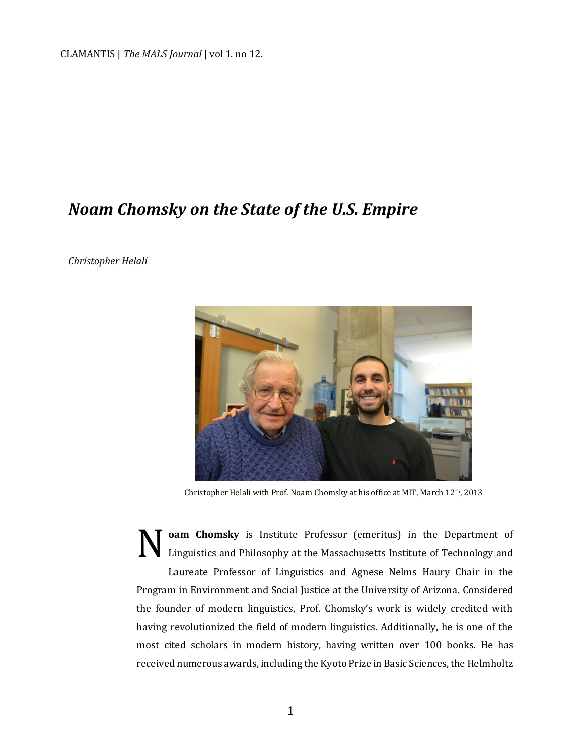CLAMANTIS | *The MALS Journal* | vol 1. no 12.

## *Noam Chomsky on the State of the U.S. Empire*

*Christopher Helali*



Christopher Helali with Prof. Noam Chomsky at his office at MIT, March 12th, 2013

**oam Chomsky** is Institute Professor (emeritus) in the Department of Linguistics and Philosophy at the Massachusetts Institute of Technology and Laureate Professor of Linguistics and Agnese Nelms Haury Chair in the Program in Environment and Social Justice at the University of Arizona. Considered the founder of modern linguistics, Prof. Chomsky's work is widely credited with having revolutionized the field of modern linguistics. Additionally, he is one of the most cited scholars in modern history, having written over 100 books. He has received numerous awards, including the Kyoto Prize in Basic Sciences, the Helmholtz N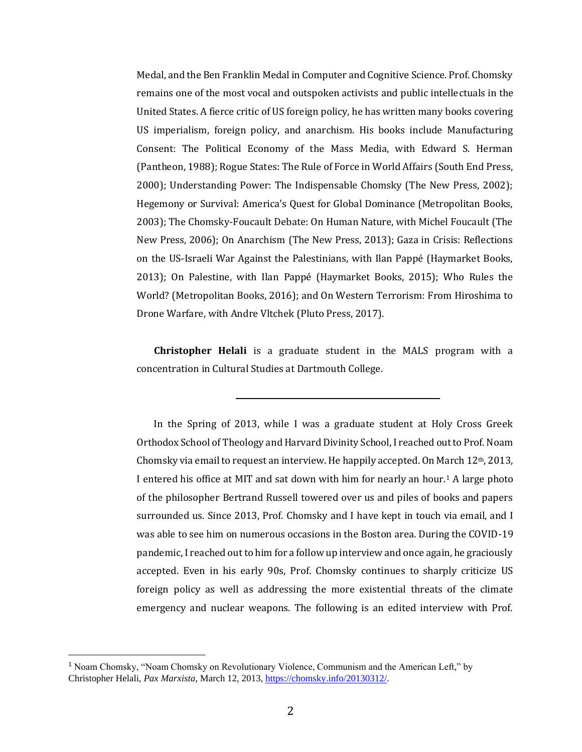Medal, and the Ben Franklin Medal in Computer and Cognitive Science. Prof. Chomsky remains one of the most vocal and outspoken activists and public intellectuals in the United States. A fierce critic of US foreign policy, he has written many books covering US imperialism, foreign policy, and anarchism. His books include Manufacturing Consent: The Political Economy of the Mass Media, with Edward S. Herman (Pantheon, 1988); Rogue States: The Rule of Force in World Affairs (South End Press, 2000); Understanding Power: The Indispensable Chomsky (The New Press, 2002); Hegemony or Survival: America's Quest for Global Dominance (Metropolitan Books, 2003); The Chomsky-Foucault Debate: On Human Nature, with Michel Foucault (The New Press, 2006); On Anarchism (The New Press, 2013); Gaza in Crisis: Reflections on the US-Israeli War Against the Palestinians, with Ilan Pappé (Haymarket Books, 2013); On Palestine, with Ilan Pappé (Haymarket Books, 2015); Who Rules the World? (Metropolitan Books, 2016); and On Western Terrorism: From Hiroshima to Drone Warfare, with Andre Vltchek (Pluto Press, 2017).

**Christopher Helali** is a graduate student in the MALS program with a concentration in Cultural Studies at Dartmouth College.

In the Spring of 2013, while I was a graduate student at Holy Cross Greek Orthodox School of Theology and Harvard Divinity School, I reached out to Prof. Noam Chomsky via email to request an interview. He happily accepted. On March 12th, 2013, I entered his office at MIT and sat down with him for nearly an hour.<sup>1</sup> A large photo of the philosopher Bertrand Russell towered over us and piles of books and papers surrounded us. Since 2013, Prof. Chomsky and I have kept in touch via email, and I was able to see him on numerous occasions in the Boston area. During the COVID-19 pandemic, I reached out to him for a follow up interview and once again, he graciously accepted. Even in his early 90s, Prof. Chomsky continues to sharply criticize US foreign policy as well as addressing the more existential threats of the climate emergency and nuclear weapons. The following is an edited interview with Prof.

<sup>1</sup> Noam Chomsky, "Noam Chomsky on Revolutionary Violence, Communism and the American Left," by Christopher Helali, *Pax Marxista*, March 12, 2013, [https://chomsky.info/20130312/.](https://chomsky.info/20130312/)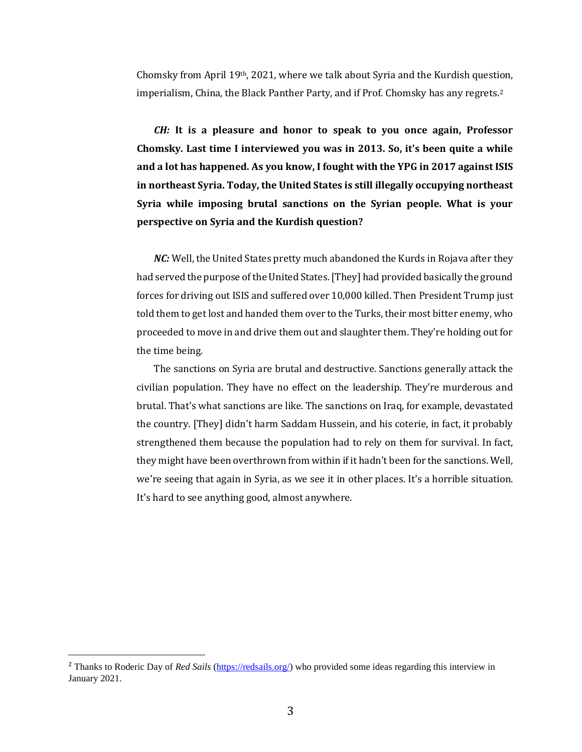Chomsky from April 19th, 2021, where we talk about Syria and the Kurdish question, imperialism, China, the Black Panther Party, and if Prof. Chomsky has any regrets.<sup>2</sup>

*CH:* **It is a pleasure and honor to speak to you once again, Professor Chomsky. Last time I interviewed you was in 2013. So, it's been quite a while and a lot has happened. As you know, I fought with the YPG in 2017 against ISIS in northeast Syria. Today, the United States is still illegally occupying northeast Syria while imposing brutal sanctions on the Syrian people. What is your perspective on Syria and the Kurdish question?** 

*NC:* Well, the United States pretty much abandoned the Kurds in Rojava after they had served the purpose of the United States. [They] had provided basically the ground forces for driving out ISIS and suffered over 10,000 killed. Then President Trump just told them to get lost and handed them over to the Turks, their most bitter enemy, who proceeded to move in and drive them out and slaughter them. They're holding out for the time being.

The sanctions on Syria are brutal and destructive. Sanctions generally attack the civilian population. They have no effect on the leadership. They're murderous and brutal. That's what sanctions are like. The sanctions on Iraq, for example, devastated the country. [They] didn't harm Saddam Hussein, and his coterie, in fact, it probably strengthened them because the population had to rely on them for survival. In fact, they might have been overthrown from within if it hadn't been for the sanctions. Well, we're seeing that again in Syria, as we see it in other places. It's a horrible situation. It's hard to see anything good, almost anywhere.

<sup>2</sup> Thanks to Roderic Day of *Red Sails* [\(https://redsails.org/\)](https://redsails.org/) who provided some ideas regarding this interview in January 2021.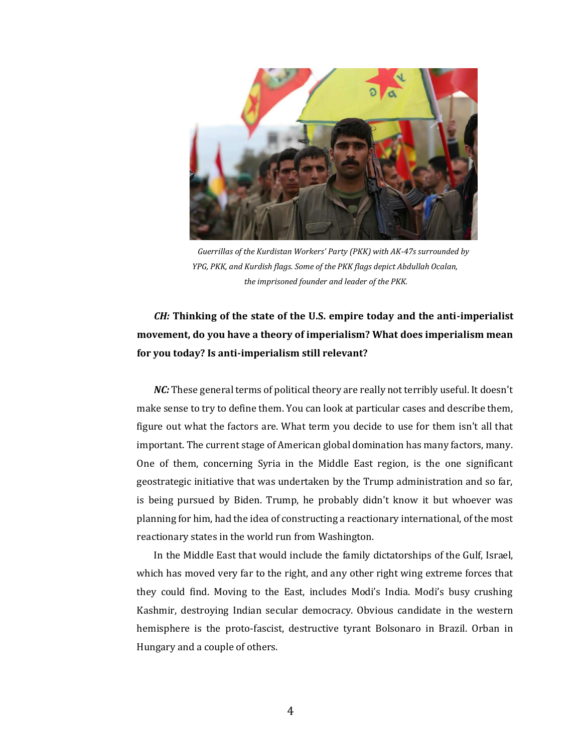

*Guerrillas of the Kurdistan Workers' Party (PKK) with AK-47s surrounded by YPG, PKK, and Kurdish flags. Some of the PKK flags depict Abdullah Ocalan, the imprisoned founder and leader of the PKK.*

## *CH:* **Thinking of the state of the U.S. empire today and the anti-imperialist movement, do you have a theory of imperialism? What does imperialism mean for you today? Is anti-imperialism still relevant?**

*NC*: These general terms of political theory are really not terribly useful. It doesn't make sense to try to define them. You can look at particular cases and describe them, figure out what the factors are. What term you decide to use for them isn't all that important. The current stage of American global domination has many factors, many. One of them, concerning Syria in the Middle East region, is the one significant geostrategic initiative that was undertaken by the Trump administration and so far, is being pursued by Biden. Trump, he probably didn't know it but whoever was planning for him, had the idea of constructing a reactionary international, of the most reactionary states in the world run from Washington.

In the Middle East that would include the family dictatorships of the Gulf, Israel, which has moved very far to the right, and any other right wing extreme forces that they could find. Moving to the East, includes Modi's India. Modi's busy crushing Kashmir, destroying Indian secular democracy. Obvious candidate in the western hemisphere is the proto-fascist, destructive tyrant Bolsonaro in Brazil. Orban in Hungary and a couple of others.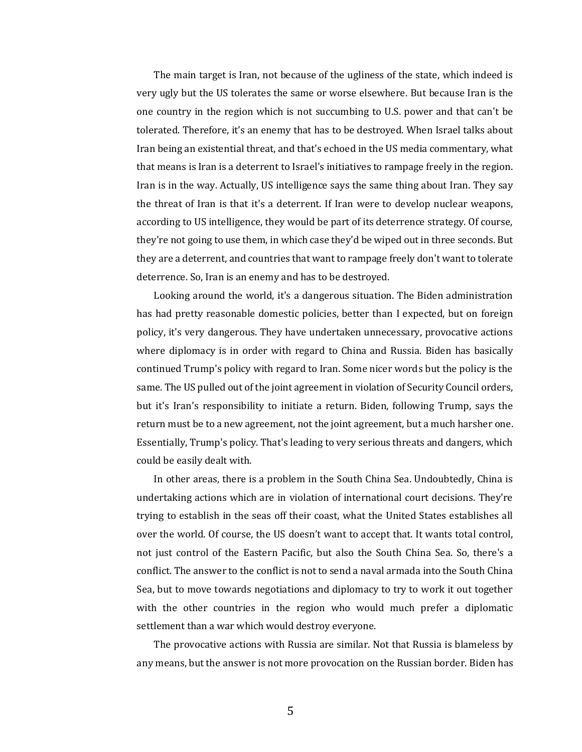The main target is Iran, not because of the ugliness of the state, which indeed is very ugly but the US tolerates the same or worse elsewhere. But because Iran is the one country in the region which is not succumbing to U.S. power and that can't be tolerated. Therefore, it's an enemy that has to be destroyed. When Israel talks about Iran being an existential threat, and that's echoed in the US media commentary, what that means is Iran is a deterrent to Israel's initiatives to rampage freely in the region. Iran is in the way. Actually, US intelligence says the same thing about Iran. They say the threat of Iran is that it's a deterrent. If Iran were to develop nuclear weapons, according to US intelligence, they would be part of its deterrence strategy. Of course, they're not going to use them, in which case they'd be wiped out in three seconds. But they are a deterrent, and countries that want to rampage freely don't want to tolerate deterrence. So, Iran is an enemy and has to be destroyed.

Looking around the world, it's a dangerous situation. The Biden administration has had pretty reasonable domestic policies, better than I expected, but on foreign policy, it's very dangerous. They have undertaken unnecessary, provocative actions where diplomacy is in order with regard to China and Russia. Biden has basically continued Trump's policy with regard to Iran. Some nicer words but the policy is the same. The US pulled out of the joint agreement in violation of Security Council orders, but it's Iran's responsibility to initiate a return. Biden, following Trump, says the return must be to a new agreement, not the joint agreement, but a much harsher one. Essentially, Trump's policy. That's leading to very serious threats and dangers, which could be easily dealt with.

In other areas, there is a problem in the South China Sea. Undoubtedly, China is undertaking actions which are in violation of international court decisions. They're trying to establish in the seas off their coast, what the United States establishes all over the world. Of course, the US doesn't want to accept that. It wants total control, not just control of the Eastern Pacific, but also the South China Sea. So, there's a conflict. The answer to the conflict is not to send a naval armada into the South China Sea, but to move towards negotiations and diplomacy to try to work it out together with the other countries in the region who would much prefer a diplomatic settlement than a war which would destroy everyone.

The provocative actions with Russia are similar. Not that Russia is blameless by any means, but the answer is not more provocation on the Russian border. Biden has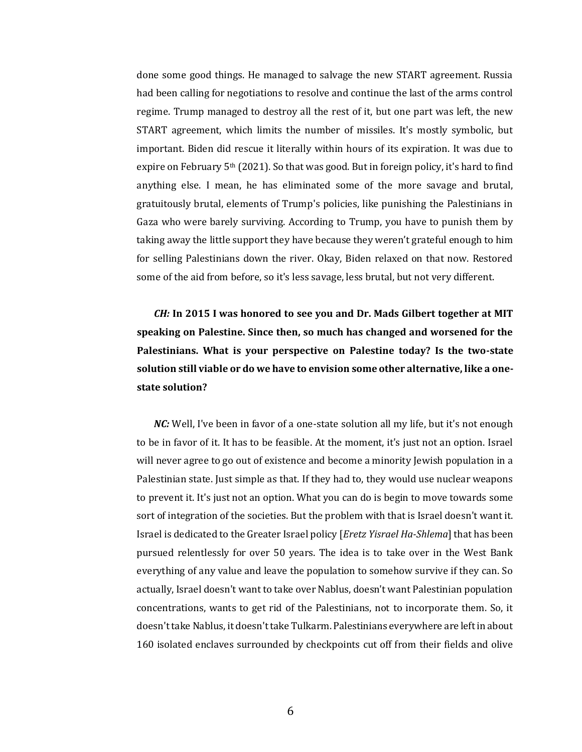done some good things. He managed to salvage the new START agreement. Russia had been calling for negotiations to resolve and continue the last of the arms control regime. Trump managed to destroy all the rest of it, but one part was left, the new START agreement, which limits the number of missiles. It's mostly symbolic, but important. Biden did rescue it literally within hours of its expiration. It was due to expire on February 5th (2021). So that was good. But in foreign policy, it's hard to find anything else. I mean, he has eliminated some of the more savage and brutal, gratuitously brutal, elements of Trump's policies, like punishing the Palestinians in Gaza who were barely surviving. According to Trump, you have to punish them by taking away the little support they have because they weren't grateful enough to him for selling Palestinians down the river. Okay, Biden relaxed on that now. Restored some of the aid from before, so it's less savage, less brutal, but not very different.

*CH:* **In 2015 I was honored to see you and Dr. Mads Gilbert together at MIT speaking on Palestine. Since then, so much has changed and worsened for the Palestinians. What is your perspective on Palestine today? Is the two-state solution still viable or do we have to envision some other alternative, like a onestate solution?**

*NC*: Well, I've been in favor of a one-state solution all my life, but it's not enough to be in favor of it. It has to be feasible. At the moment, it's just not an option. Israel will never agree to go out of existence and become a minority Jewish population in a Palestinian state. Just simple as that. If they had to, they would use nuclear weapons to prevent it. It's just not an option. What you can do is begin to move towards some sort of integration of the societies. But the problem with that is Israel doesn't want it. Israel is dedicated to the Greater Israel policy [*Eretz Yisrael Ha-Shlema*] that has been pursued relentlessly for over 50 years. The idea is to take over in the West Bank everything of any value and leave the population to somehow survive if they can. So actually, Israel doesn't want to take over Nablus, doesn't want Palestinian population concentrations, wants to get rid of the Palestinians, not to incorporate them. So, it doesn't take Nablus, it doesn't take Tulkarm. Palestinians everywhere are left in about 160 isolated enclaves surrounded by checkpoints cut off from their fields and olive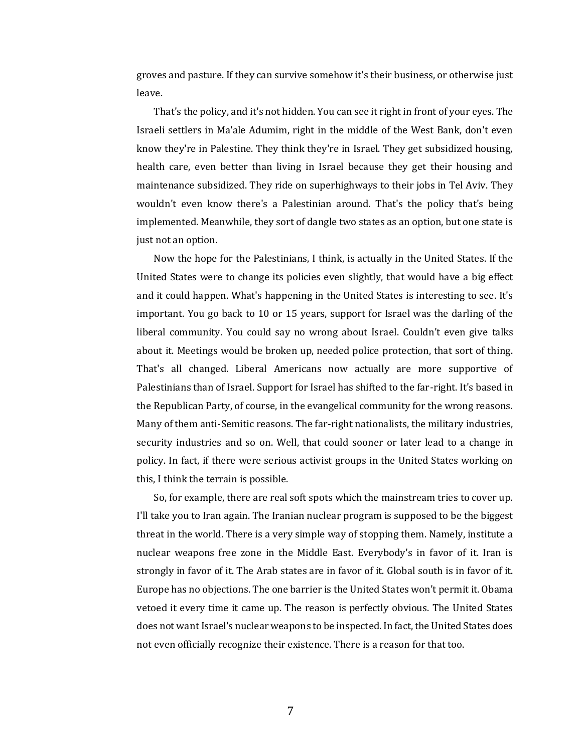groves and pasture. If they can survive somehow it's their business, or otherwise just leave.

That's the policy, and it's not hidden. You can see it right in front of your eyes. The Israeli settlers in Ma'ale Adumim, right in the middle of the West Bank, don't even know they're in Palestine. They think they're in Israel. They get subsidized housing, health care, even better than living in Israel because they get their housing and maintenance subsidized. They ride on superhighways to their jobs in Tel Aviv. They wouldn't even know there's a Palestinian around. That's the policy that's being implemented. Meanwhile, they sort of dangle two states as an option, but one state is just not an option.

Now the hope for the Palestinians, I think, is actually in the United States. If the United States were to change its policies even slightly, that would have a big effect and it could happen. What's happening in the United States is interesting to see. It's important. You go back to 10 or 15 years, support for Israel was the darling of the liberal community. You could say no wrong about Israel. Couldn't even give talks about it. Meetings would be broken up, needed police protection, that sort of thing. That's all changed. Liberal Americans now actually are more supportive of Palestinians than of Israel. Support for Israel has shifted to the far-right. It's based in the Republican Party, of course, in the evangelical community for the wrong reasons. Many of them anti-Semitic reasons. The far-right nationalists, the military industries, security industries and so on. Well, that could sooner or later lead to a change in policy. In fact, if there were serious activist groups in the United States working on this, I think the terrain is possible.

So, for example, there are real soft spots which the mainstream tries to cover up. I'll take you to Iran again. The Iranian nuclear program is supposed to be the biggest threat in the world. There is a very simple way of stopping them. Namely, institute a nuclear weapons free zone in the Middle East. Everybody's in favor of it. Iran is strongly in favor of it. The Arab states are in favor of it. Global south is in favor of it. Europe has no objections. The one barrier is the United States won't permit it. Obama vetoed it every time it came up. The reason is perfectly obvious. The United States does not want Israel's nuclear weapons to be inspected. In fact, the United States does not even officially recognize their existence. There is a reason for that too.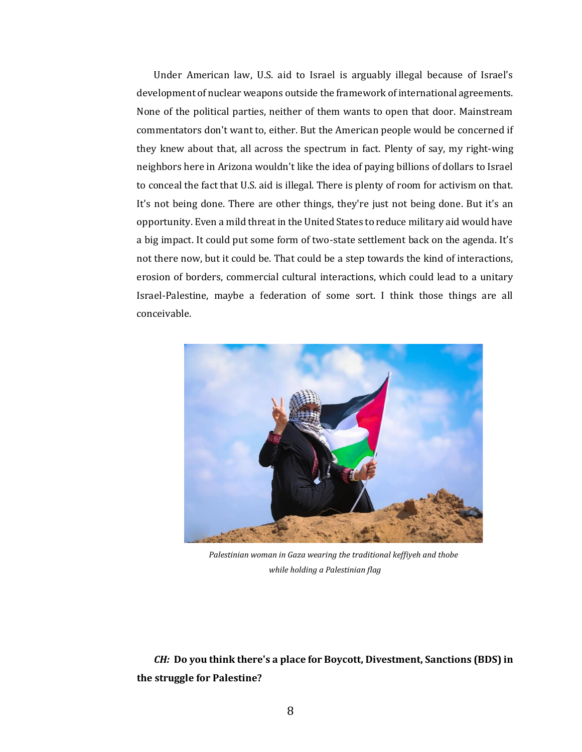Under American law, U.S. aid to Israel is arguably illegal because of Israel's development of nuclear weapons outside the framework of international agreements. None of the political parties, neither of them wants to open that door. Mainstream commentators don't want to, either. But the American people would be concerned if they knew about that, all across the spectrum in fact. Plenty of say, my right-wing neighbors here in Arizona wouldn't like the idea of paying billions of dollars to Israel to conceal the fact that U.S. aid is illegal. There is plenty of room for activism on that. It's not being done. There are other things, they're just not being done. But it's an opportunity. Even a mild threat in the United States to reduce military aid would have a big impact. It could put some form of two-state settlement back on the agenda. It's not there now, but it could be. That could be a step towards the kind of interactions, erosion of borders, commercial cultural interactions, which could lead to a unitary Israel-Palestine, maybe a federation of some sort. I think those things are all conceivable.



*Palestinian woman in Gaza wearing the traditional keffiyeh and thobe while holding a Palestinian flag*

*CH:* **Do you think there's a place for Boycott, Divestment, Sanctions (BDS) in the struggle for Palestine?**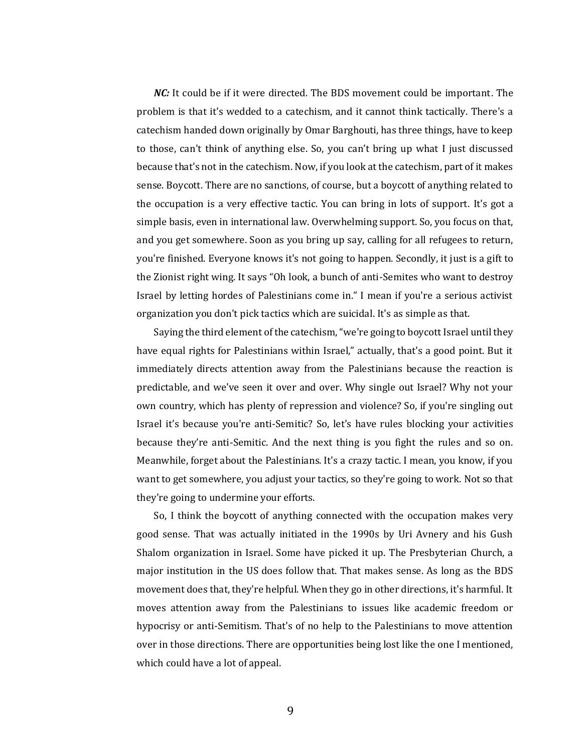*NC:* It could be if it were directed. The BDS movement could be important. The problem is that it's wedded to a catechism, and it cannot think tactically. There's a catechism handed down originally by Omar Barghouti, has three things, have to keep to those, can't think of anything else. So, you can't bring up what I just discussed because that's not in the catechism. Now, if you look at the catechism, part of it makes sense. Boycott. There are no sanctions, of course, but a boycott of anything related to the occupation is a very effective tactic. You can bring in lots of support. It's got a simple basis, even in international law. Overwhelming support. So, you focus on that, and you get somewhere. Soon as you bring up say, calling for all refugees to return, you're finished. Everyone knows it's not going to happen. Secondly, it just is a gift to the Zionist right wing. It says "Oh look, a bunch of anti-Semites who want to destroy Israel by letting hordes of Palestinians come in." I mean if you're a serious activist organization you don't pick tactics which are suicidal. It's as simple as that.

Saying the third element of the catechism, "we're going to boycott Israel until they have equal rights for Palestinians within Israel," actually, that's a good point. But it immediately directs attention away from the Palestinians because the reaction is predictable, and we've seen it over and over. Why single out Israel? Why not your own country, which has plenty of repression and violence? So, if you're singling out Israel it's because you're anti-Semitic? So, let's have rules blocking your activities because they're anti-Semitic. And the next thing is you fight the rules and so on. Meanwhile, forget about the Palestinians. It's a crazy tactic. I mean, you know, if you want to get somewhere, you adjust your tactics, so they're going to work. Not so that they're going to undermine your efforts.

So, I think the boycott of anything connected with the occupation makes very good sense. That was actually initiated in the 1990s by Uri Avnery and his Gush Shalom organization in Israel. Some have picked it up. The Presbyterian Church, a major institution in the US does follow that. That makes sense. As long as the BDS movement does that, they're helpful. When they go in other directions, it's harmful. It moves attention away from the Palestinians to issues like academic freedom or hypocrisy or anti-Semitism. That's of no help to the Palestinians to move attention over in those directions. There are opportunities being lost like the one I mentioned, which could have a lot of appeal.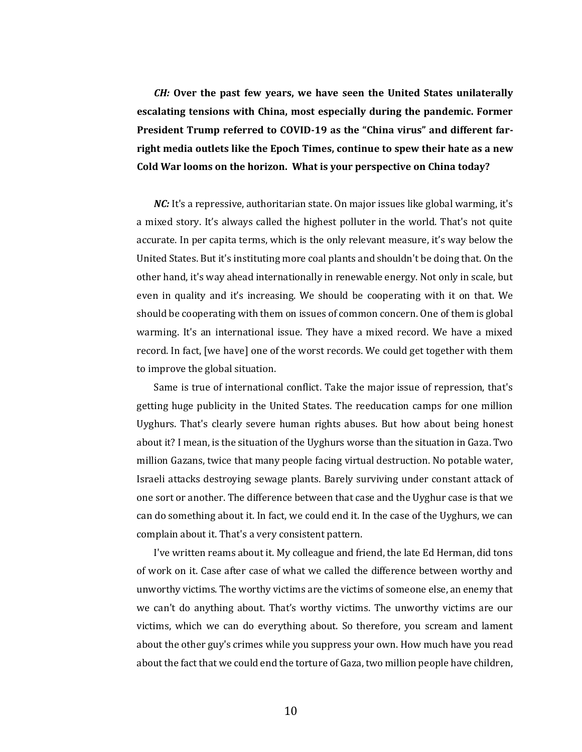*CH:* **Over the past few years, we have seen the United States unilaterally escalating tensions with China, most especially during the pandemic. Former President Trump referred to COVID-19 as the "China virus" and different farright media outlets like the Epoch Times, continue to spew their hate as a new Cold War looms on the horizon. What is your perspective on China today?** 

*NC*: It's a repressive, authoritarian state. On major issues like global warming, it's a mixed story. It's always called the highest polluter in the world. That's not quite accurate. In per capita terms, which is the only relevant measure, it's way below the United States. But it's instituting more coal plants and shouldn't be doing that. On the other hand, it's way ahead internationally in renewable energy. Not only in scale, but even in quality and it's increasing. We should be cooperating with it on that. We should be cooperating with them on issues of common concern. One of them is global warming. It's an international issue. They have a mixed record. We have a mixed record. In fact, [we have] one of the worst records. We could get together with them to improve the global situation.

Same is true of international conflict. Take the major issue of repression, that's getting huge publicity in the United States. The reeducation camps for one million Uyghurs. That's clearly severe human rights abuses. But how about being honest about it? I mean, is the situation of the Uyghurs worse than the situation in Gaza. Two million Gazans, twice that many people facing virtual destruction. No potable water, Israeli attacks destroying sewage plants. Barely surviving under constant attack of one sort or another. The difference between that case and the Uyghur case is that we can do something about it. In fact, we could end it. In the case of the Uyghurs, we can complain about it. That's a very consistent pattern.

I've written reams about it. My colleague and friend, the late Ed Herman, did tons of work on it. Case after case of what we called the difference between worthy and unworthy victims. The worthy victims are the victims of someone else, an enemy that we can't do anything about. That's worthy victims. The unworthy victims are our victims, which we can do everything about. So therefore, you scream and lament about the other guy's crimes while you suppress your own. How much have you read about the fact that we could end the torture of Gaza, two million people have children,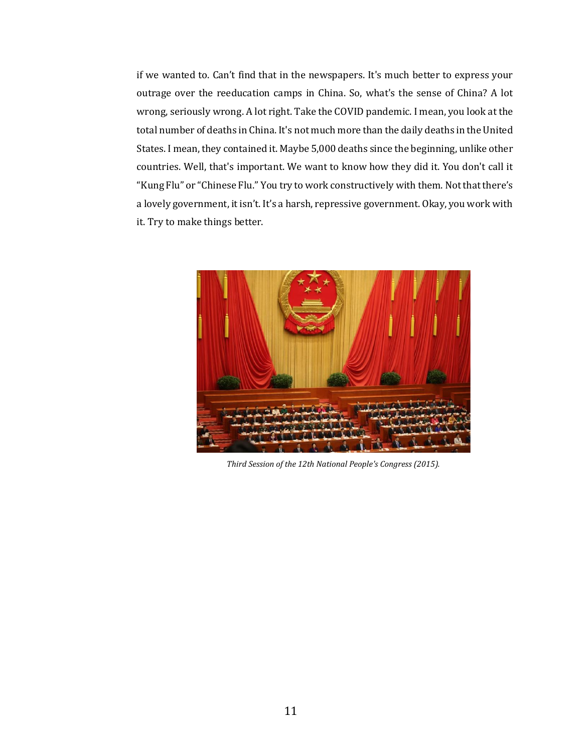if we wanted to. Can't find that in the newspapers. It's much better to express your outrage over the reeducation camps in China. So, what's the sense of China? A lot wrong, seriously wrong. A lot right. Take the COVID pandemic. I mean, you look at the total number of deaths in China. It's not much more than the daily deaths in the United States. I mean, they contained it. Maybe 5,000 deaths since the beginning, unlike other countries. Well, that's important. We want to know how they did it. You don't call it "Kung Flu" or "Chinese Flu." You try to work constructively with them. Not that there's a lovely government, it isn't. It's a harsh, repressive government. Okay, you work with it. Try to make things better.



*Third Session of the 12th National People's Congress (2015).*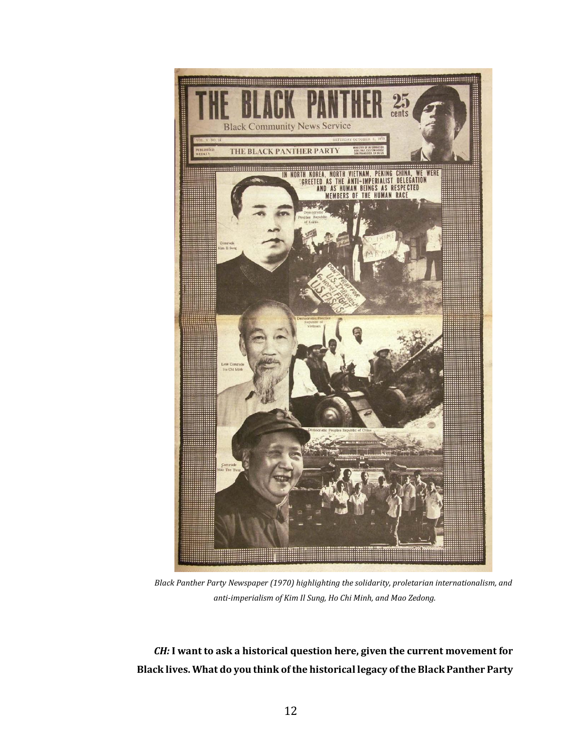

*Black Panther Party Newspaper (1970) highlighting the solidarity, proletarian internationalism, and anti-imperialism of Kim Il Sung, Ho Chi Minh, and Mao Zedong.*

*CH:* **I want to ask a historical question here, given the current movement for Black lives. What do you think of the historical legacy of the Black Panther Party**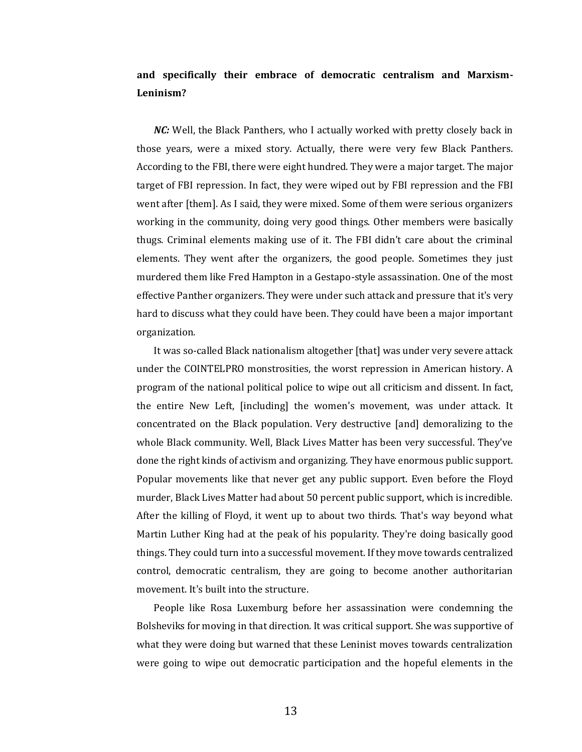## **and specifically their embrace of democratic centralism and Marxism-Leninism?**

*NC*: Well, the Black Panthers, who I actually worked with pretty closely back in those years, were a mixed story. Actually, there were very few Black Panthers. According to the FBI, there were eight hundred. They were a major target. The major target of FBI repression. In fact, they were wiped out by FBI repression and the FBI went after [them]. As I said, they were mixed. Some of them were serious organizers working in the community, doing very good things. Other members were basically thugs. Criminal elements making use of it. The FBI didn't care about the criminal elements. They went after the organizers, the good people. Sometimes they just murdered them like Fred Hampton in a Gestapo-style assassination. One of the most effective Panther organizers. They were under such attack and pressure that it's very hard to discuss what they could have been. They could have been a major important organization.

It was so-called Black nationalism altogether [that] was under very severe attack under the COINTELPRO monstrosities, the worst repression in American history. A program of the national political police to wipe out all criticism and dissent. In fact, the entire New Left, [including] the women's movement, was under attack. It concentrated on the Black population. Very destructive [and] demoralizing to the whole Black community. Well, Black Lives Matter has been very successful. They've done the right kinds of activism and organizing. They have enormous public support. Popular movements like that never get any public support. Even before the Floyd murder, Black Lives Matter had about 50 percent public support, which is incredible. After the killing of Floyd, it went up to about two thirds. That's way beyond what Martin Luther King had at the peak of his popularity. They're doing basically good things. They could turn into a successful movement. If they move towards centralized control, democratic centralism, they are going to become another authoritarian movement. It's built into the structure.

People like Rosa Luxemburg before her assassination were condemning the Bolsheviks for moving in that direction. It was critical support. She was supportive of what they were doing but warned that these Leninist moves towards centralization were going to wipe out democratic participation and the hopeful elements in the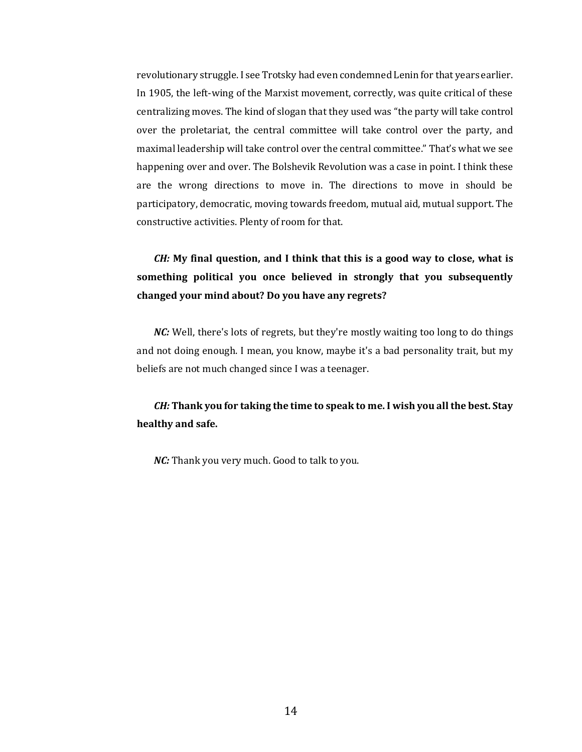revolutionary struggle. I see Trotsky had even condemned Lenin for that years earlier. In 1905, the left-wing of the Marxist movement, correctly, was quite critical of these centralizing moves. The kind of slogan that they used was "the party will take control over the proletariat, the central committee will take control over the party, and maximal leadership will take control over the central committee." That's what we see happening over and over. The Bolshevik Revolution was a case in point. I think these are the wrong directions to move in. The directions to move in should be participatory, democratic, moving towards freedom, mutual aid, mutual support. The constructive activities. Plenty of room for that.

## *CH:* **My final question, and I think that this is a good way to close, what is something political you once believed in strongly that you subsequently changed your mind about? Do you have any regrets?**

*NC*: Well, there's lots of regrets, but they're mostly waiting too long to do things and not doing enough. I mean, you know, maybe it's a bad personality trait, but my beliefs are not much changed since I was a teenager.

*CH:* **Thank you for taking the time to speak to me. I wish you all the best. Stay healthy and safe.**

*NC:* Thank you very much. Good to talk to you.